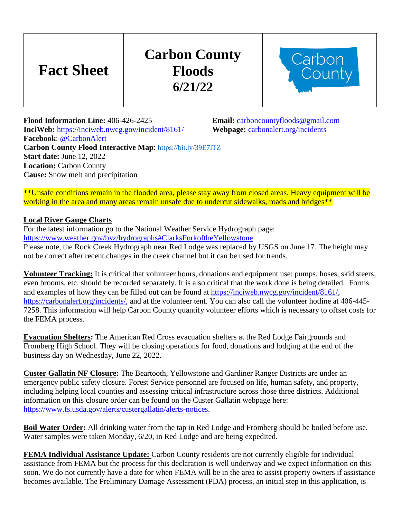## **Carbon County Floods 6/21/22**



**Flood Information Line:** 406-426-2425 **Email:** [carboncountyfloods@gmail.com](mailto:carboncountyfloods@gmail.com) **InciWeb:** <https://inciweb.nwcg.gov/incident/8161/>**Webpage:** [carbonalert.org/incidents](http://www.carbonalert.org/incidents) **Facebook**: [@CarbonAlert](https://www.facebook.com/CarbonAlert/) **Carbon County Flood Interactive Map**: <https://bit.ly/39E7lTZ> **Start date:** June 12, 2022 **Location:** Carbon County **Cause:** Snow melt and precipitation

\*\*Unsafe conditions remain in the flooded area, please stay away from closed areas. Heavy equipment will be working in the area and many areas remain unsafe due to undercut sidewalks, roads and bridges\*\*

## **Local River Gauge Charts**

**Fact Sheet**

For the latest information go to the National Weather Service Hydrograph page: <https://www.weather.gov/byz/hydrographs#ClarksForkoftheYellowstone> Please note, the Rock Creek Hydrograph near Red Lodge was replaced by USGS on June 17. The height may not be correct after recent changes in the creek channel but it can be used for trends.

**Volunteer Tracking:** It is critical that volunteer hours, donations and equipment use: pumps, hoses, skid steers, even brooms, etc. should be recorded separately. It is also critical that the work done is being detailed. Forms and examples of how they can be filled out can be found at [https://inciweb.nwcg.gov/incident/8161/,](https://inciweb.nwcg.gov/incident/8161/) https://carbonalert.org/incidents/, and at the volunteer tent. You can also call the volunteer hotline at 406-445- 7258. This information will help Carbon County quantify volunteer efforts which is necessary to offset costs for the FEMA process.

**Evacuation Shelters:** The American Red Cross evacuation shelters at the Red Lodge Fairgrounds and Fromberg High School. They will be closing operations for food, donations and lodging at the end of the business day on Wednesday, June 22, 2022.

**Custer Gallatin NF Closure:** The Beartooth, Yellowstone and Gardiner Ranger Districts are under an emergency public safety closure. Forest Service personnel are focused on life, human safety, and property, including helping local counties and assessing critical infrastructure across those three districts. Additional information on this closure order can be found on the Custer Gallatin webpage here: [https://www.fs.usda.gov/alerts/custergallatin/alerts-notices.](https://www.fs.usda.gov/alerts/custergallatin/alerts-notices)

**Boil Water Order:** All drinking water from the tap in Red Lodge and Fromberg should be boiled before use. Water samples were taken Monday, 6/20, in Red Lodge and are being expedited.

**FEMA Individual Assistance Update:** Carbon County residents are not currently eligible for individual assistance from FEMA but the process for this declaration is well underway and we expect information on this soon. We do not currently have a date for when FEMA will be in the area to assist property owners if assistance becomes available. The Preliminary Damage Assessment (PDA) process, an initial step in this application, is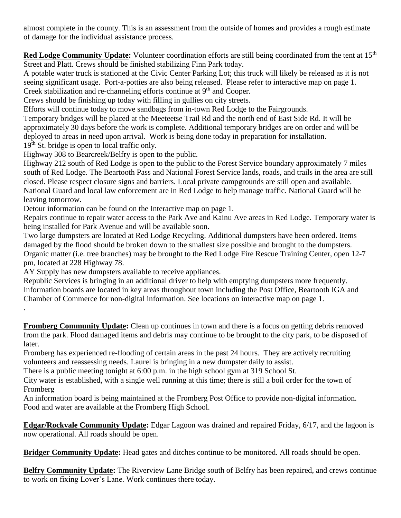almost complete in the county. This is an assessment from the outside of homes and provides a rough estimate of damage for the individual assistance process.

**Red Lodge Community Update:** Volunteer coordination efforts are still being coordinated from the tent at 15<sup>th</sup> Street and Platt. Crews should be finished stabilizing Finn Park today.

A potable water truck is stationed at the Civic Center Parking Lot; this truck will likely be released as it is not seeing significant usage. Port-a-potties are also being released. Please refer to interactive map on page 1. Creek stabilization and re-channeling efforts continue at 9<sup>th</sup> and Cooper.

Crews should be finishing up today with filling in gullies on city streets.

Efforts will continue today to move sandbags from in-town Red Lodge to the Fairgrounds.

Temporary bridges will be placed at the Meeteetse Trail Rd and the north end of East Side Rd. It will be approximately 30 days before the work is complete. Additional temporary bridges are on order and will be deployed to areas in need upon arrival. Work is being done today in preparation for installation. 19<sup>th</sup> St. bridge is open to local traffic only.

Highway 308 to Bearcreek/Belfry is open to the public.

Highway 212 south of Red Lodge is open to the public to the Forest Service boundary approximately 7 miles south of Red Lodge. The Beartooth Pass and National Forest Service lands, roads, and trails in the area are still closed. Please respect closure signs and barriers. Local private campgrounds are still open and available. National Guard and local law enforcement are in Red Lodge to help manage traffic. National Guard will be leaving tomorrow.

Detour information can be found on the Interactive map on page 1.

Repairs continue to repair water access to the Park Ave and Kainu Ave areas in Red Lodge. Temporary water is being installed for Park Avenue and will be available soon.

Two large dumpsters are located at Red Lodge Recycling. Additional dumpsters have been ordered. Items damaged by the flood should be broken down to the smallest size possible and brought to the dumpsters. Organic matter (i.e. tree branches) may be brought to the Red Lodge Fire Rescue Training Center, open 12-7 pm, located at 228 Highway 78.

AY Supply has new dumpsters available to receive appliances.

.

Republic Services is bringing in an additional driver to help with emptying dumpsters more frequently. Information boards are located in key areas throughout town including the Post Office, Beartooth IGA and Chamber of Commerce for non-digital information. See locations on interactive map on page 1.

**Fromberg Community Update:** Clean up continues in town and there is a focus on getting debris removed from the park. Flood damaged items and debris may continue to be brought to the city park, to be disposed of later.

Fromberg has experienced re-flooding of certain areas in the past 24 hours. They are actively recruiting volunteers and reassessing needs. Laurel is bringing in a new dumpster daily to assist.

There is a public meeting tonight at 6:00 p.m. in the high school gym at 319 School St.

City water is established, with a single well running at this time; there is still a boil order for the town of Fromberg

An information board is being maintained at the Fromberg Post Office to provide non-digital information. Food and water are available at the Fromberg High School.

**Edgar/Rockvale Community Update:** Edgar Lagoon was drained and repaired Friday, 6/17, and the lagoon is now operational. All roads should be open.

**Bridger Community Update:** Head gates and ditches continue to be monitored. All roads should be open.

**Belfry Community Update:** The Riverview Lane Bridge south of Belfry has been repaired, and crews continue to work on fixing Lover's Lane. Work continues there today.